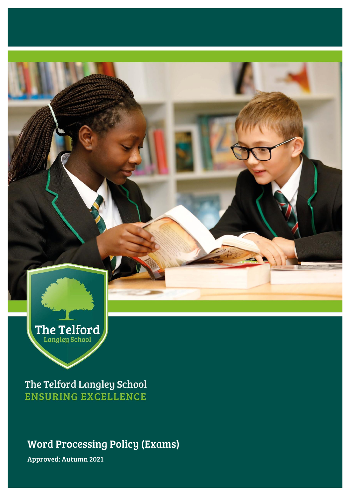

The Telford Langley School **ENSURING EXCELLENCE** 

Word Processing Policy (Exams)

Approved: Autumn 2021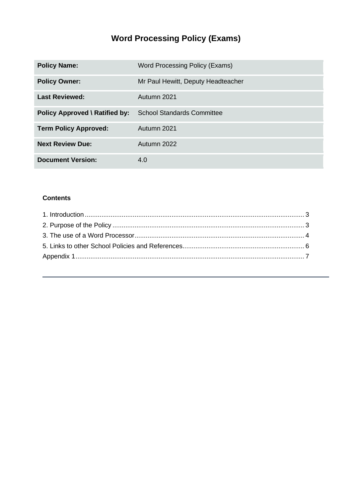# **Word Processing Policy (Exams)**

| <b>Policy Name:</b>                   | Word Processing Policy (Exams)     |
|---------------------------------------|------------------------------------|
| <b>Policy Owner:</b>                  | Mr Paul Hewitt, Deputy Headteacher |
| <b>Last Reviewed:</b>                 | Autumn 2021                        |
| <b>Policy Approved \ Ratified by:</b> | <b>School Standards Committee</b>  |
| <b>Term Policy Approved:</b>          | Autumn 2021                        |
| <b>Next Review Due:</b>               | Autumn 2022                        |
| <b>Document Version:</b>              | 4.0                                |

### **Contents**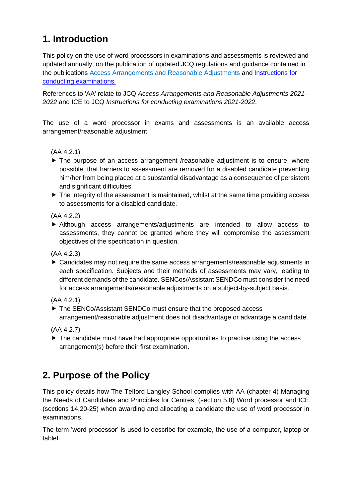## <span id="page-2-0"></span>**1. Introduction**

This policy on the use of word processors in examinations and assessments is reviewed and updated annually, on the publication of updated JCQ regulations and guidance contained in the publications [Access Arrangements and Reasonable Adjustments](http://www.jcq.org.uk/exams-office/access-arrangements-and-special-consideration/regulations-and-guidance) and [Instructions for](http://www.jcq.org.uk/exams-office/ice---instructions-for-conducting-examinations)  [conducting examinations.](http://www.jcq.org.uk/exams-office/ice---instructions-for-conducting-examinations) 

References to 'AA' relate to JCQ *Access Arrangements and Reasonable Adjustments 2021- 2022* and ICE to JCQ *Instructions for conducting examinations 2021-2022*.

The use of a word processor in exams and assessments is an available access arrangement/reasonable adjustment

### (AA 4.2.1)

- ▶ The purpose of an access arrangement /reasonable adjustment is to ensure, where possible, that barriers to assessment are removed for a disabled candidate preventing him/her from being placed at a substantial disadvantage as a consequence of persistent and significant difficulties.
- ▶ The integrity of the assessment is maintained, whilst at the same time providing access to assessments for a disabled candidate.

(AA 4.2.2)

 Although access arrangements/adjustments are intended to allow access to assessments, they cannot be granted where they will compromise the assessment objectives of the specification in question.

(AA 4.2.3)

 Candidates may not require the same access arrangements/reasonable adjustments in each specification. Subjects and their methods of assessments may vary, leading to different demands of the candidate. SENCos/Assistant SENDCo must consider the need for access arrangements/reasonable adjustments on a subject-by-subject basis.

(AA 4.2.1)

▶ The SENCo/Assistant SENDCo must ensure that the proposed access arrangement/reasonable adjustment does not disadvantage or advantage a candidate.

(AA 4.2.7)

 $\blacktriangleright$  The candidate must have had appropriate opportunities to practise using the access arrangement(s) before their first examination.

## <span id="page-2-1"></span>**2. Purpose of the Policy**

This policy details how The Telford Langley School complies with AA (chapter 4) Managing the Needs of Candidates and Principles for Centres, (section 5.8) Word processor and ICE (sections 14.20-25) when awarding and allocating a candidate the use of word processor in examinations.

The term 'word processor' is used to describe for example, the use of a computer, laptop or tablet.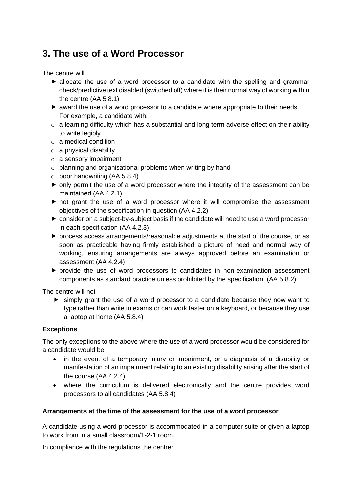### <span id="page-3-0"></span>**3. The use of a Word Processor**

The centre will

- $\blacktriangleright$  allocate the use of a word processor to a candidate with the spelling and grammar check/predictive text disabled (switched off) where it is their normal way of working within the centre (AA 5.8.1)
- $\blacktriangleright$  award the use of a word processor to a candidate where appropriate to their needs. For example, a candidate with:
- o a learning difficulty which has a substantial and long term adverse effect on their ability to write legibly
- o a medical condition
- $\circ$  a physical disability
- o a sensory impairment
- o planning and organisational problems when writing by hand
- $\circ$  poor handwriting (AA 5.8.4)
- only permit the use of a word processor where the integrity of the assessment can be maintained (AA 4.2.1)
- not grant the use of a word processor where it will compromise the assessment objectives of the specification in question (AA 4.2.2)
- consider on a subject-by-subject basis if the candidate will need to use a word processor in each specification (AA 4.2.3)
- $\triangleright$  process access arrangements/reasonable adjustments at the start of the course, or as soon as practicable having firmly established a picture of need and normal way of working, ensuring arrangements are always approved before an examination or assessment (AA 4.2.4)
- $\blacktriangleright$  provide the use of word processors to candidates in non-examination assessment components as standard practice unless prohibited by the specification (AA 5.8.2)

The centre will not

 simply grant the use of a word processor to a candidate because they now want to type rather than write in exams or can work faster on a keyboard, or because they use a laptop at home (AA 5.8.4)

#### **Exceptions**

The only exceptions to the above where the use of a word processor would be considered for a candidate would be

- in the event of a temporary injury or impairment, or a diagnosis of a disability or manifestation of an impairment relating to an existing disability arising after the start of the course (AA 4.2.4)
- where the curriculum is delivered electronically and the centre provides word processors to all candidates (AA 5.8.4)

#### **Arrangements at the time of the assessment for the use of a word processor**

A candidate using a word processor is accommodated in a computer suite or given a laptop to work from in a small classroom/1-2-1 room.

In compliance with the regulations the centre: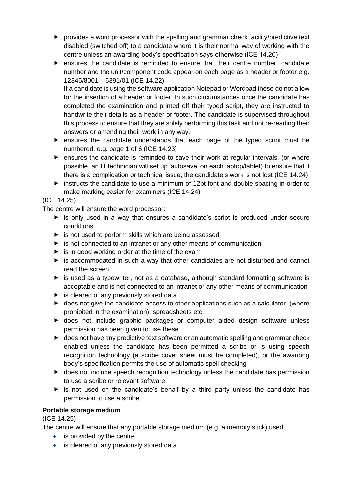- $\triangleright$  provides a word processor with the spelling and grammar check facility/predictive text disabled (switched off) to a candidate where it is their normal way of working with the centre unless an awarding body's specification says otherwise (ICE 14.20)
- ensures the candidate is reminded to ensure that their centre number, candidate number and the unit/component code appear on each page as a header or footer e.g. 12345/8001 – 6391/01 (ICE 14.22)

If a candidate is using the software application Notepad or Wordpad these do not allow for the insertion of a header or footer. In such circumstances once the candidate has completed the examination and printed off their typed script, they are instructed to handwrite their details as a header or footer. The candidate is supervised throughout this process to ensure that they are solely performing this task and not re-reading their answers or amending their work in any way.

- ensures the candidate understands that each page of the typed script must be numbered, e.g. page 1 of 6 (ICE 14.23)
- ensures the candidate is reminded to save their work at regular intervals. (or where possible, an IT technician will set up 'autosave' on each laptop/tablet) to ensure that if there is a complication or technical issue, the candidate's work is not lost (ICE 14.24)
- $\blacktriangleright$  instructs the candidate to use a minimum of 12pt font and double spacing in order to make marking easier for examiners (ICE 14.24)

### (ICE 14.25)

The centre will ensure the word processor:

- is only used in a way that ensures a candidate's script is produced under secure conditions
- $\triangleright$  is not used to perform skills which are being assessed
- $\blacktriangleright$  is not connected to an intranet or any other means of communication
- $\triangleright$  is in good working order at the time of the exam
- is accommodated in such a way that other candidates are not disturbed and cannot read the screen
- $\blacktriangleright$  is used as a typewriter, not as a database, although standard formatting software is acceptable and is not connected to an intranet or any other means of communication
- $\blacktriangleright$  is cleared of any previously stored data
- ▶ does not give the candidate access to other applications such as a calculator (where prohibited in the examination), spreadsheets etc.
- does not include graphic packages or computer aided design software unless permission has been given to use these
- ▶ does not have any predictive text software or an automatic spelling and grammar check enabled unless the candidate has been permitted a scribe or is using speech recognition technology (a scribe cover sheet must be completed), or the awarding body's specification permits the use of automatic spell checking
- ▶ does not include speech recognition technology unless the candidate has permission to use a scribe or relevant software
- $\triangleright$  is not used on the candidate's behalf by a third party unless the candidate has permission to use a scribe

#### **Portable storage medium**

(ICE 14.25)

The centre will ensure that any portable storage medium (e.g. a memory stick) used

- is provided by the centre
- is cleared of any previously stored data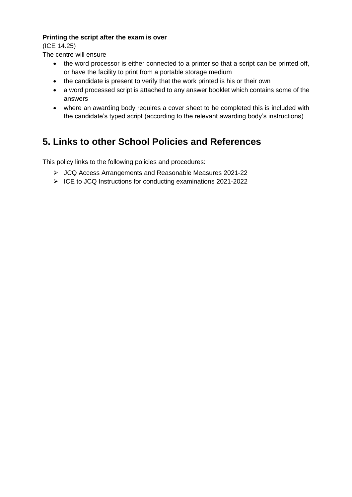#### **Printing the script after the exam is over**

(ICE 14.25)

The centre will ensure

- the word processor is either connected to a printer so that a script can be printed off, or have the facility to print from a portable storage medium
- the candidate is present to verify that the work printed is his or their own
- a word processed script is attached to any answer booklet which contains some of the answers
- where an awarding body requires a cover sheet to be completed this is included with the candidate's typed script (according to the relevant awarding body's instructions)

## <span id="page-5-0"></span>**5. Links to other School Policies and References**

This policy links to the following policies and procedures:

- ➢ JCQ Access Arrangements and Reasonable Measures 2021-22
- ➢ ICE to JCQ Instructions for conducting examinations 2021-2022